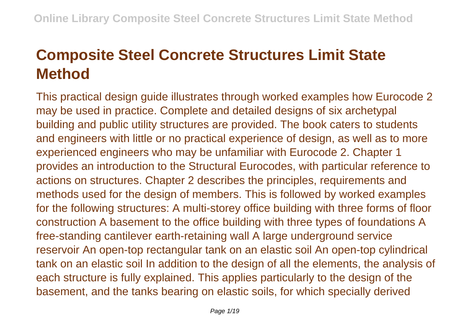## **Composite Steel Concrete Structures Limit State Method**

This practical design guide illustrates through worked examples how Eurocode 2 may be used in practice. Complete and detailed designs of six archetypal building and public utility structures are provided. The book caters to students and engineers with little or no practical experience of design, as well as to more experienced engineers who may be unfamiliar with Eurocode 2. Chapter 1 provides an introduction to the Structural Eurocodes, with particular reference to actions on structures. Chapter 2 describes the principles, requirements and methods used for the design of members. This is followed by worked examples for the following structures: A multi-storey office building with three forms of floor construction A basement to the office building with three types of foundations A free-standing cantilever earth-retaining wall A large underground service reservoir An open-top rectangular tank on an elastic soil An open-top cylindrical tank on an elastic soil In addition to the design of all the elements, the analysis of each structure is fully explained. This applies particularly to the design of the basement, and the tanks bearing on elastic soils, for which specially derived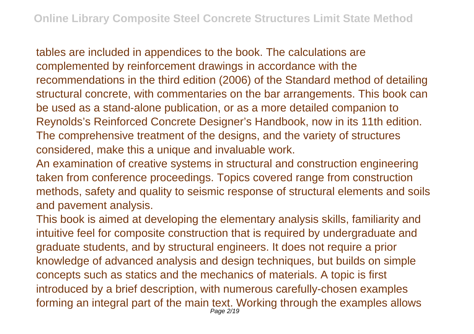tables are included in appendices to the book. The calculations are complemented by reinforcement drawings in accordance with the recommendations in the third edition (2006) of the Standard method of detailing structural concrete, with commentaries on the bar arrangements. This book can be used as a stand-alone publication, or as a more detailed companion to Reynolds's Reinforced Concrete Designer's Handbook, now in its 11th edition. The comprehensive treatment of the designs, and the variety of structures considered, make this a unique and invaluable work.

An examination of creative systems in structural and construction engineering taken from conference proceedings. Topics covered range from construction methods, safety and quality to seismic response of structural elements and soils and pavement analysis.

This book is aimed at developing the elementary analysis skills, familiarity and intuitive feel for composite construction that is required by undergraduate and graduate students, and by structural engineers. It does not require a prior knowledge of advanced analysis and design techniques, but builds on simple concepts such as statics and the mechanics of materials. A topic is first introduced by a brief description, with numerous carefully-chosen examples forming an integral part of the main text. Working through the examples allows Page 2/19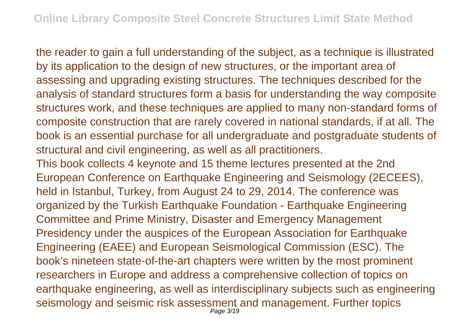the reader to gain a full understanding of the subject, as a technique is illustrated by its application to the design of new structures, or the important area of assessing and upgrading existing structures. The techniques described for the analysis of standard structures form a basis for understanding the way composite structures work, and these techniques are applied to many non-standard forms of composite construction that are rarely covered in national standards, if at all. The book is an essential purchase for all undergraduate and postgraduate students of structural and civil engineering, as well as all practitioners.

This book collects 4 keynote and 15 theme lectures presented at the 2nd European Conference on Earthquake Engineering and Seismology (2ECEES), held in Istanbul, Turkey, from August 24 to 29, 2014. The conference was organized by the Turkish Earthquake Foundation - Earthquake Engineering Committee and Prime Ministry, Disaster and Emergency Management Presidency under the auspices of the European Association for Earthquake Engineering (EAEE) and European Seismological Commission (ESC). The book's nineteen state-of-the-art chapters were written by the most prominent researchers in Europe and address a comprehensive collection of topics on earthquake engineering, as well as interdisciplinary subjects such as engineering seismology and seismic risk assessment and management. Further topics Page 3/19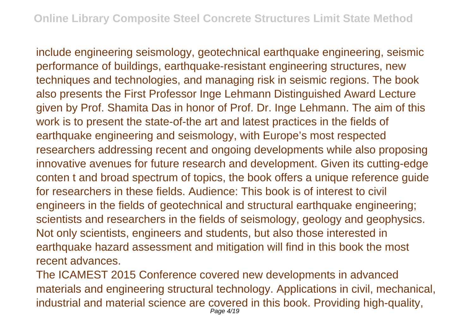include engineering seismology, geotechnical earthquake engineering, seismic performance of buildings, earthquake-resistant engineering structures, new techniques and technologies, and managing risk in seismic regions. The book also presents the First Professor Inge Lehmann Distinguished Award Lecture given by Prof. Shamita Das in honor of Prof. Dr. Inge Lehmann. The aim of this work is to present the state-of-the art and latest practices in the fields of earthquake engineering and seismology, with Europe's most respected researchers addressing recent and ongoing developments while also proposing innovative avenues for future research and development. Given its cutting-edge conten t and broad spectrum of topics, the book offers a unique reference guide for researchers in these fields. Audience: This book is of interest to civil engineers in the fields of geotechnical and structural earthquake engineering; scientists and researchers in the fields of seismology, geology and geophysics. Not only scientists, engineers and students, but also those interested in earthquake hazard assessment and mitigation will find in this book the most recent advances.

The ICAMEST 2015 Conference covered new developments in advanced materials and engineering structural technology. Applications in civil, mechanical, industrial and material science are covered in this book. Providing high-quality, Page 4/19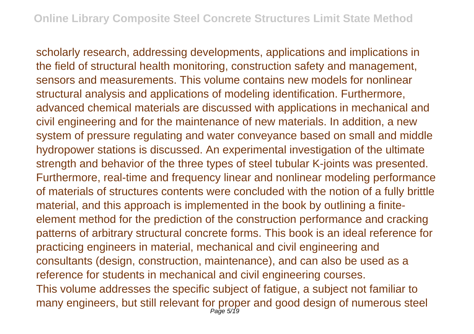scholarly research, addressing developments, applications and implications in the field of structural health monitoring, construction safety and management, sensors and measurements. This volume contains new models for nonlinear structural analysis and applications of modeling identification. Furthermore, advanced chemical materials are discussed with applications in mechanical and civil engineering and for the maintenance of new materials. In addition, a new system of pressure regulating and water conveyance based on small and middle hydropower stations is discussed. An experimental investigation of the ultimate strength and behavior of the three types of steel tubular K-joints was presented. Furthermore, real-time and frequency linear and nonlinear modeling performance of materials of structures contents were concluded with the notion of a fully brittle material, and this approach is implemented in the book by outlining a finiteelement method for the prediction of the construction performance and cracking patterns of arbitrary structural concrete forms. This book is an ideal reference for practicing engineers in material, mechanical and civil engineering and consultants (design, construction, maintenance), and can also be used as a reference for students in mechanical and civil engineering courses. This volume addresses the specific subject of fatigue, a subject not familiar to many engineers, but still relevant for proper and good design of numerous steel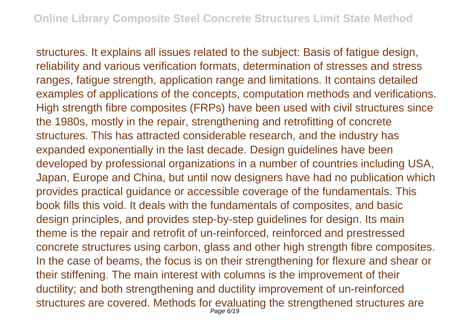structures. It explains all issues related to the subject: Basis of fatigue design, reliability and various verification formats, determination of stresses and stress ranges, fatigue strength, application range and limitations. It contains detailed examples of applications of the concepts, computation methods and verifications. High strength fibre composites (FRPs) have been used with civil structures since the 1980s, mostly in the repair, strengthening and retrofitting of concrete structures. This has attracted considerable research, and the industry has expanded exponentially in the last decade. Design guidelines have been developed by professional organizations in a number of countries including USA, Japan, Europe and China, but until now designers have had no publication which provides practical guidance or accessible coverage of the fundamentals. This book fills this void. It deals with the fundamentals of composites, and basic design principles, and provides step-by-step guidelines for design. Its main theme is the repair and retrofit of un-reinforced, reinforced and prestressed concrete structures using carbon, glass and other high strength fibre composites. In the case of beams, the focus is on their strengthening for flexure and shear or their stiffening. The main interest with columns is the improvement of their ductility; and both strengthening and ductility improvement of un-reinforced structures are covered. Methods for evaluating the strengthened structures are Page 6/19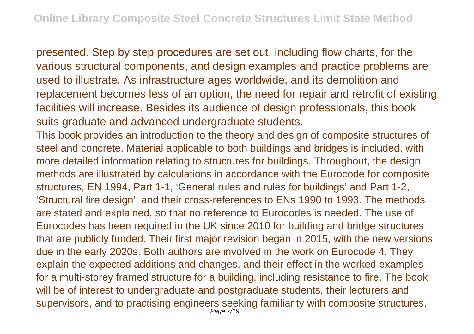presented. Step by step procedures are set out, including flow charts, for the various structural components, and design examples and practice problems are used to illustrate. As infrastructure ages worldwide, and its demolition and replacement becomes less of an option, the need for repair and retrofit of existing facilities will increase. Besides its audience of design professionals, this book suits graduate and advanced undergraduate students.

This book provides an introduction to the theory and design of composite structures of steel and concrete. Material applicable to both buildings and bridges is included, with more detailed information relating to structures for buildings. Throughout, the design methods are illustrated by calculations in accordance with the Eurocode for composite structures, EN 1994, Part 1-1, 'General rules and rules for buildings' and Part 1-2, 'Structural fire design', and their cross-references to ENs 1990 to 1993. The methods are stated and explained, so that no reference to Eurocodes is needed. The use of Eurocodes has been required in the UK since 2010 for building and bridge structures that are publicly funded. Their first major revision began in 2015, with the new versions due in the early 2020s. Both authors are involved in the work on Eurocode 4. They explain the expected additions and changes, and their effect in the worked examples for a multi-storey framed structure for a building, including resistance to fire. The book will be of interest to undergraduate and postgraduate students, their lecturers and supervisors, and to practising engineers seeking familiarity with composite structures,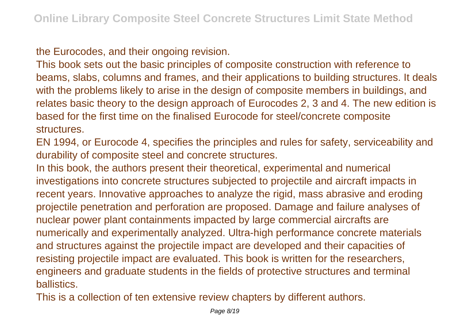the Eurocodes, and their ongoing revision.

This book sets out the basic principles of composite construction with reference to beams, slabs, columns and frames, and their applications to building structures. It deals with the problems likely to arise in the design of composite members in buildings, and relates basic theory to the design approach of Eurocodes 2, 3 and 4. The new edition is based for the first time on the finalised Eurocode for steel/concrete composite structures.

EN 1994, or Eurocode 4, specifies the principles and rules for safety, serviceability and durability of composite steel and concrete structures.

In this book, the authors present their theoretical, experimental and numerical investigations into concrete structures subjected to projectile and aircraft impacts in recent years. Innovative approaches to analyze the rigid, mass abrasive and eroding projectile penetration and perforation are proposed. Damage and failure analyses of nuclear power plant containments impacted by large commercial aircrafts are numerically and experimentally analyzed. Ultra-high performance concrete materials and structures against the projectile impact are developed and their capacities of resisting projectile impact are evaluated. This book is written for the researchers, engineers and graduate students in the fields of protective structures and terminal ballistics.

This is a collection of ten extensive review chapters by different authors.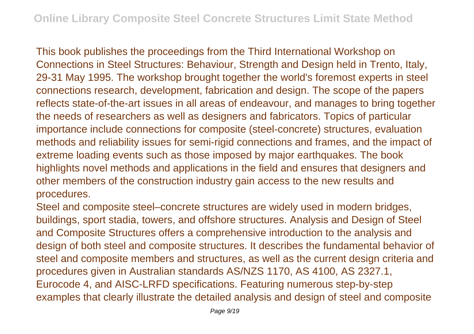This book publishes the proceedings from the Third International Workshop on Connections in Steel Structures: Behaviour, Strength and Design held in Trento, Italy, 29-31 May 1995. The workshop brought together the world's foremost experts in steel connections research, development, fabrication and design. The scope of the papers reflects state-of-the-art issues in all areas of endeavour, and manages to bring together the needs of researchers as well as designers and fabricators. Topics of particular importance include connections for composite (steel-concrete) structures, evaluation methods and reliability issues for semi-rigid connections and frames, and the impact of extreme loading events such as those imposed by major earthquakes. The book highlights novel methods and applications in the field and ensures that designers and other members of the construction industry gain access to the new results and procedures.

Steel and composite steel–concrete structures are widely used in modern bridges, buildings, sport stadia, towers, and offshore structures. Analysis and Design of Steel and Composite Structures offers a comprehensive introduction to the analysis and design of both steel and composite structures. It describes the fundamental behavior of steel and composite members and structures, as well as the current design criteria and procedures given in Australian standards AS/NZS 1170, AS 4100, AS 2327.1, Eurocode 4, and AISC-LRFD specifications. Featuring numerous step-by-step examples that clearly illustrate the detailed analysis and design of steel and composite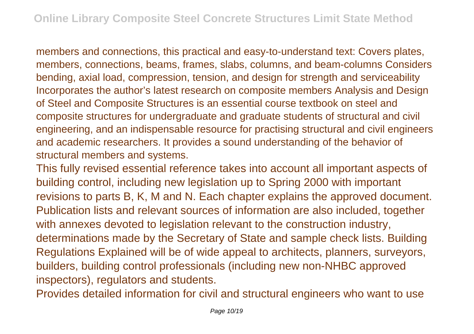members and connections, this practical and easy-to-understand text: Covers plates, members, connections, beams, frames, slabs, columns, and beam-columns Considers bending, axial load, compression, tension, and design for strength and serviceability Incorporates the author's latest research on composite members Analysis and Design of Steel and Composite Structures is an essential course textbook on steel and composite structures for undergraduate and graduate students of structural and civil engineering, and an indispensable resource for practising structural and civil engineers and academic researchers. It provides a sound understanding of the behavior of structural members and systems.

This fully revised essential reference takes into account all important aspects of building control, including new legislation up to Spring 2000 with important revisions to parts B, K, M and N. Each chapter explains the approved document. Publication lists and relevant sources of information are also included, together with annexes devoted to legislation relevant to the construction industry, determinations made by the Secretary of State and sample check lists. Building Regulations Explained will be of wide appeal to architects, planners, surveyors, builders, building control professionals (including new non-NHBC approved inspectors), regulators and students.

Provides detailed information for civil and structural engineers who want to use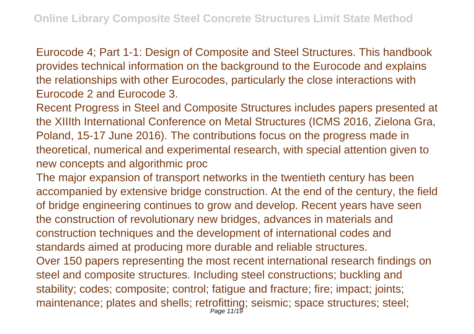Eurocode 4; Part 1-1: Design of Composite and Steel Structures. This handbook provides technical information on the background to the Eurocode and explains the relationships with other Eurocodes, particularly the close interactions with Eurocode 2 and Eurocode 3.

Recent Progress in Steel and Composite Structures includes papers presented at the XIIIth International Conference on Metal Structures (ICMS 2016, Zielona Gra, Poland, 15-17 June 2016). The contributions focus on the progress made in theoretical, numerical and experimental research, with special attention given to new concepts and algorithmic proc

The major expansion of transport networks in the twentieth century has been accompanied by extensive bridge construction. At the end of the century, the field of bridge engineering continues to grow and develop. Recent years have seen the construction of revolutionary new bridges, advances in materials and construction techniques and the development of international codes and standards aimed at producing more durable and reliable structures. Over 150 papers representing the most recent international research findings on steel and composite structures. Including steel constructions; buckling and stability; codes; composite; control; fatigue and fracture; fire; impact; joints; maintenance; plates and shells; retrofitting; seismic; space structures; steel; Page 11/19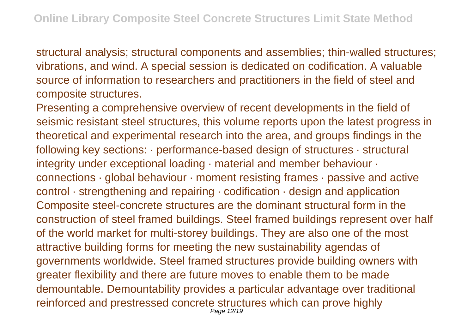structural analysis; structural components and assemblies; thin-walled structures; vibrations, and wind. A special session is dedicated on codification. A valuable source of information to researchers and practitioners in the field of steel and composite structures.

Presenting a comprehensive overview of recent developments in the field of seismic resistant steel structures, this volume reports upon the latest progress in theoretical and experimental research into the area, and groups findings in the following key sections: · performance-based design of structures · structural integrity under exceptional loading · material and member behaviour · connections · global behaviour · moment resisting frames · passive and active control · strengthening and repairing · codification · design and application Composite steel-concrete structures are the dominant structural form in the construction of steel framed buildings. Steel framed buildings represent over half of the world market for multi-storey buildings. They are also one of the most attractive building forms for meeting the new sustainability agendas of governments worldwide. Steel framed structures provide building owners with greater flexibility and there are future moves to enable them to be made demountable. Demountability provides a particular advantage over traditional reinforced and prestressed concrete structures which can prove highly Page 12/19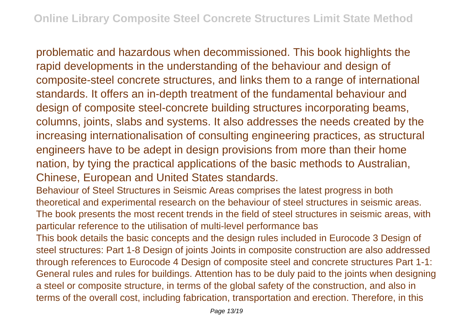problematic and hazardous when decommissioned. This book highlights the rapid developments in the understanding of the behaviour and design of composite-steel concrete structures, and links them to a range of international standards. It offers an in-depth treatment of the fundamental behaviour and design of composite steel-concrete building structures incorporating beams, columns, joints, slabs and systems. It also addresses the needs created by the increasing internationalisation of consulting engineering practices, as structural engineers have to be adept in design provisions from more than their home nation, by tying the practical applications of the basic methods to Australian, Chinese, European and United States standards.

Behaviour of Steel Structures in Seismic Areas comprises the latest progress in both theoretical and experimental research on the behaviour of steel structures in seismic areas. The book presents the most recent trends in the field of steel structures in seismic areas, with particular reference to the utilisation of multi-level performance bas

This book details the basic concepts and the design rules included in Eurocode 3 Design of steel structures: Part 1-8 Design of joints Joints in composite construction are also addressed through references to Eurocode 4 Design of composite steel and concrete structures Part 1-1: General rules and rules for buildings. Attention has to be duly paid to the joints when designing a steel or composite structure, in terms of the global safety of the construction, and also in terms of the overall cost, including fabrication, transportation and erection. Therefore, in this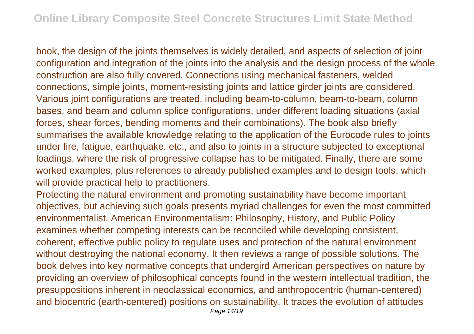book, the design of the joints themselves is widely detailed, and aspects of selection of joint configuration and integration of the joints into the analysis and the design process of the whole construction are also fully covered. Connections using mechanical fasteners, welded connections, simple joints, moment-resisting joints and lattice girder joints are considered. Various joint configurations are treated, including beam-to-column, beam-to-beam, column bases, and beam and column splice configurations, under different loading situations (axial forces, shear forces, bending moments and their combinations). The book also briefly summarises the available knowledge relating to the application of the Eurocode rules to joints under fire, fatigue, earthquake, etc., and also to joints in a structure subjected to exceptional loadings, where the risk of progressive collapse has to be mitigated. Finally, there are some worked examples, plus references to already published examples and to design tools, which will provide practical help to practitioners.

Protecting the natural environment and promoting sustainability have become important objectives, but achieving such goals presents myriad challenges for even the most committed environmentalist. American Environmentalism: Philosophy, History, and Public Policy examines whether competing interests can be reconciled while developing consistent, coherent, effective public policy to regulate uses and protection of the natural environment without destroying the national economy. It then reviews a range of possible solutions. The book delves into key normative concepts that undergird American perspectives on nature by providing an overview of philosophical concepts found in the western intellectual tradition, the presuppositions inherent in neoclassical economics, and anthropocentric (human-centered) and biocentric (earth-centered) positions on sustainability. It traces the evolution of attitudes Page 14/19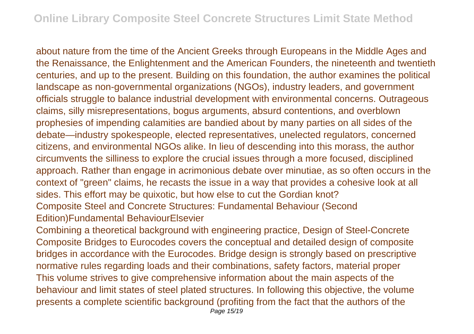about nature from the time of the Ancient Greeks through Europeans in the Middle Ages and the Renaissance, the Enlightenment and the American Founders, the nineteenth and twentieth centuries, and up to the present. Building on this foundation, the author examines the political landscape as non-governmental organizations (NGOs), industry leaders, and government officials struggle to balance industrial development with environmental concerns. Outrageous claims, silly misrepresentations, bogus arguments, absurd contentions, and overblown prophesies of impending calamities are bandied about by many parties on all sides of the debate—industry spokespeople, elected representatives, unelected regulators, concerned citizens, and environmental NGOs alike. In lieu of descending into this morass, the author circumvents the silliness to explore the crucial issues through a more focused, disciplined approach. Rather than engage in acrimonious debate over minutiae, as so often occurs in the context of "green" claims, he recasts the issue in a way that provides a cohesive look at all sides. This effort may be quixotic, but how else to cut the Gordian knot? Composite Steel and Concrete Structures: Fundamental Behaviour (Second Edition)Fundamental BehaviourElsevier

Combining a theoretical background with engineering practice, Design of Steel-Concrete Composite Bridges to Eurocodes covers the conceptual and detailed design of composite bridges in accordance with the Eurocodes. Bridge design is strongly based on prescriptive normative rules regarding loads and their combinations, safety factors, material proper This volume strives to give comprehensive information about the main aspects of the behaviour and limit states of steel plated structures. In following this objective, the volume presents a complete scientific background (profiting from the fact that the authors of the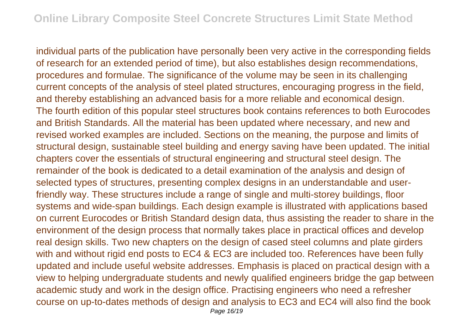individual parts of the publication have personally been very active in the corresponding fields of research for an extended period of time), but also establishes design recommendations, procedures and formulae. The significance of the volume may be seen in its challenging current concepts of the analysis of steel plated structures, encouraging progress in the field, and thereby establishing an advanced basis for a more reliable and economical design. The fourth edition of this popular steel structures book contains references to both Eurocodes and British Standards. All the material has been updated where necessary, and new and revised worked examples are included. Sections on the meaning, the purpose and limits of structural design, sustainable steel building and energy saving have been updated. The initial chapters cover the essentials of structural engineering and structural steel design. The remainder of the book is dedicated to a detail examination of the analysis and design of selected types of structures, presenting complex designs in an understandable and userfriendly way. These structures include a range of single and multi-storey buildings, floor systems and wide-span buildings. Each design example is illustrated with applications based on current Eurocodes or British Standard design data, thus assisting the reader to share in the environment of the design process that normally takes place in practical offices and develop real design skills. Two new chapters on the design of cased steel columns and plate girders with and without rigid end posts to EC4 & EC3 are included too. References have been fully updated and include useful website addresses. Emphasis is placed on practical design with a view to helping undergraduate students and newly qualified engineers bridge the gap between academic study and work in the design office. Practising engineers who need a refresher course on up-to-dates methods of design and analysis to EC3 and EC4 will also find the book Page 16/19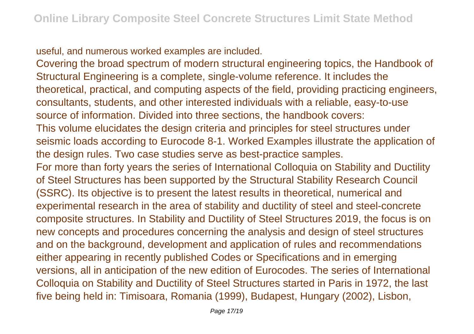useful, and numerous worked examples are included.

Covering the broad spectrum of modern structural engineering topics, the Handbook of Structural Engineering is a complete, single-volume reference. It includes the theoretical, practical, and computing aspects of the field, providing practicing engineers, consultants, students, and other interested individuals with a reliable, easy-to-use source of information. Divided into three sections, the handbook covers: This volume elucidates the design criteria and principles for steel structures under seismic loads according to Eurocode 8-1. Worked Examples illustrate the application of the design rules. Two case studies serve as best-practice samples. For more than forty years the series of International Colloquia on Stability and Ductility of Steel Structures has been supported by the Structural Stability Research Council (SSRC). Its objective is to present the latest results in theoretical, numerical and experimental research in the area of stability and ductility of steel and steel-concrete composite structures. In Stability and Ductility of Steel Structures 2019, the focus is on new concepts and procedures concerning the analysis and design of steel structures and on the background, development and application of rules and recommendations either appearing in recently published Codes or Specifications and in emerging versions, all in anticipation of the new edition of Eurocodes. The series of International Colloquia on Stability and Ductility of Steel Structures started in Paris in 1972, the last five being held in: Timisoara, Romania (1999), Budapest, Hungary (2002), Lisbon,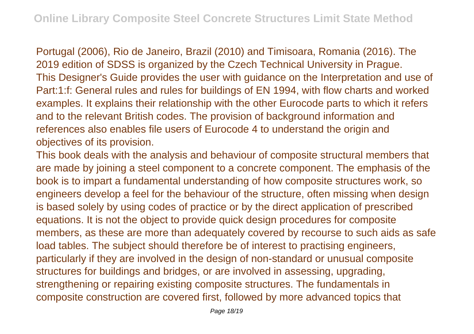Portugal (2006), Rio de Janeiro, Brazil (2010) and Timisoara, Romania (2016). The 2019 edition of SDSS is organized by the Czech Technical University in Prague. This Designer's Guide provides the user with guidance on the Interpretation and use of Part:1:f: General rules and rules for buildings of EN 1994, with flow charts and worked examples. It explains their relationship with the other Eurocode parts to which it refers and to the relevant British codes. The provision of background information and references also enables file users of Eurocode 4 to understand the origin and objectives of its provision.

This book deals with the analysis and behaviour of composite structural members that are made by joining a steel component to a concrete component. The emphasis of the book is to impart a fundamental understanding of how composite structures work, so engineers develop a feel for the behaviour of the structure, often missing when design is based solely by using codes of practice or by the direct application of prescribed equations. It is not the object to provide quick design procedures for composite members, as these are more than adequately covered by recourse to such aids as safe load tables. The subject should therefore be of interest to practising engineers, particularly if they are involved in the design of non-standard or unusual composite structures for buildings and bridges, or are involved in assessing, upgrading, strengthening or repairing existing composite structures. The fundamentals in composite construction are covered first, followed by more advanced topics that